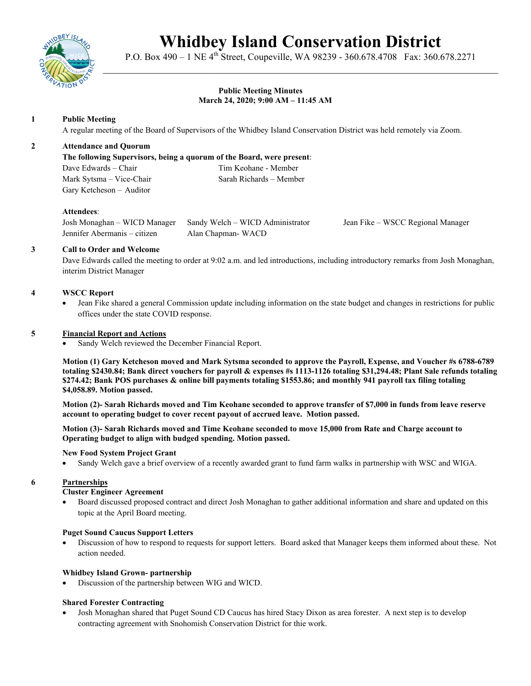

# **Whidbey Island Conservation District**

P.O. Box 490 – 1 NE 4<sup>th</sup> Street, Coupeville, WA 98239 - 360.678.4708 Fax: 360.678.2271 \_\_\_\_\_\_\_\_\_\_\_\_\_\_\_\_\_\_\_\_\_\_\_\_\_\_\_\_\_\_\_\_\_\_\_\_\_\_\_\_\_\_\_\_\_\_\_\_\_\_\_\_\_\_\_\_\_\_\_\_\_\_\_\_\_\_\_\_\_\_\_\_\_\_\_\_

# **Public Meeting Minutes March 24, 2020; 9:00 AM – 11:45 AM**

# **1 Public Meeting**

A regular meeting of the Board of Supervisors of the Whidbey Island Conservation District was held remotely via Zoom.

# **2 Attendance and Quorum**

**The following Supervisors, being a quorum of the Board, were present**:

Mark Sytsma – Vice-Chair Sarah Richards – Member Gary Ketcheson – Auditor

Dave Edwards – Chair Tim Keohane - Member

# **Attendees**:

Josh Monaghan – WICD Manager Sandy Welch – WICD Administrator Jean Fike – WSCC Regional Manager Jennifer Abermanis – citizen Alan Chapman- WACD

# **3 Call to Order and Welcome**

Dave Edwards called the meeting to order at 9:02 a.m. and led introductions, including introductory remarks from Josh Monaghan, interim District Manager

# **4 WSCC Report**

• Jean Fike shared a general Commission update including information on the state budget and changes in restrictions for public offices under the state COVID response.

# **5 Financial Report and Actions**

Sandy Welch reviewed the December Financial Report.

**Motion (1) Gary Ketcheson moved and Mark Sytsma seconded to approve the Payroll, Expense, and Voucher #s 6788-6789 totaling \$2430.84; Bank direct vouchers for payroll & expenses #s 1113-1126 totaling \$31,294.48; Plant Sale refunds totaling \$274.42; Bank POS purchases & online bill payments totaling \$1553.86; and monthly 941 payroll tax filing totaling \$4,058.89. Motion passed.** 

**Motion (2)- Sarah Richards moved and Tim Keohane seconded to approve transfer of \$7,000 in funds from leave reserve account to operating budget to cover recent payout of accrued leave. Motion passed.**

**Motion (3)- Sarah Richards moved and Time Keohane seconded to move 15,000 from Rate and Charge account to Operating budget to align with budged spending. Motion passed.**

#### **New Food System Project Grant**

• Sandy Welch gave a brief overview of a recently awarded grant to fund farm walks in partnership with WSC and WIGA.

#### **6 Partnerships**

### **Cluster Engineer Agreement**

• Board discussed proposed contract and direct Josh Monaghan to gather additional information and share and updated on this topic at the April Board meeting.

#### **Puget Sound Caucus Support Letters**

• Discussion of how to respond to requests for support letters. Board asked that Manager keeps them informed about these. Not action needed.

#### **Whidbey Island Grown- partnership**

• Discussion of the partnership between WIG and WICD.

#### **Shared Forester Contracting**

• Josh Monaghan shared that Puget Sound CD Caucus has hired Stacy Dixon as area forester. A next step is to develop contracting agreement with Snohomish Conservation District for thie work.